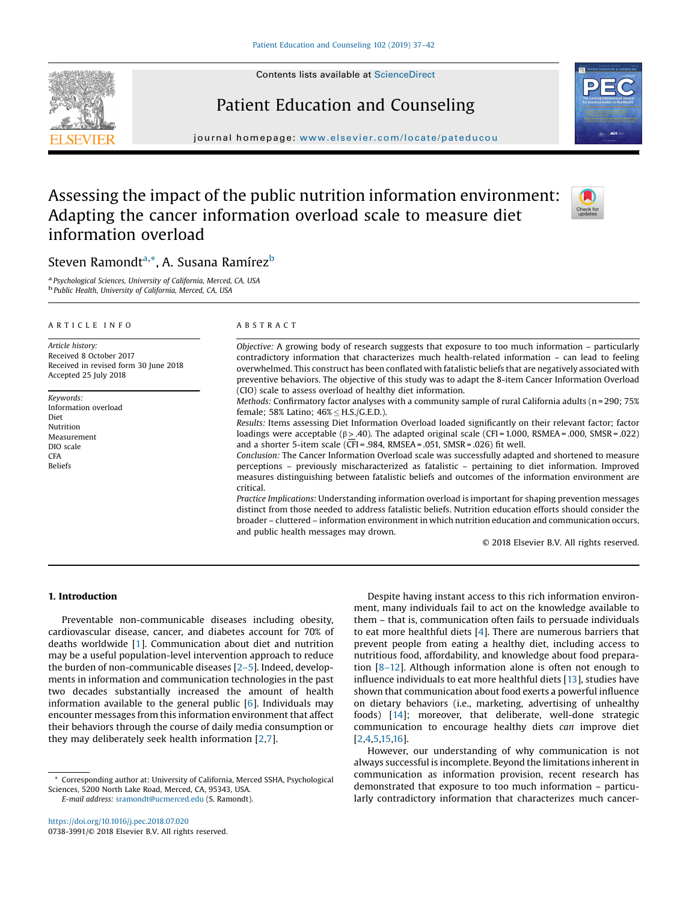Contents lists available at [ScienceDirect](http://www.sciencedirect.com/science/journal/07383991)







journal homepage: <www.elsevier.com/locate/pateducou>

# Assessing the impact of the public nutrition information environment: Adapting the cancer information overload scale to measure diet information overload



# Steven Ramondt<sup>a,</sup>\*, A. Susana Ramírez<sup>b</sup>

<sup>a</sup> Psychological Sciences, University of California, Merced, CA, USA **b** Public Health, University of California, Merced, CA, USA

# A R T I C L E I N F O

Article history: Received 8 October 2017 Received in revised form 30 June 2018 Accepted 25 July 2018

Keywords: Information overload Diet Nutrition Measurement DIO scale **CFA** Beliefs

# A B S T R A C T

Objective: A growing body of research suggests that exposure to too much information – particularly contradictory information that characterizes much health-related information – can lead to feeling overwhelmed. This construct has been conflated with fatalistic beliefs that are negatively associated with preventive behaviors. The objective of this study was to adapt the 8-item Cancer Information Overload (CIO) scale to assess overload of healthy diet information.

Methods: Confirmatory factor analyses with a community sample of rural California adults (n=290; 75% female; 58% Latino; 46% H.S./G.E.D.).

Results: Items assessing Diet Information Overload loaded significantly on their relevant factor; factor loadings were acceptable ( $\beta \geq .40$ ). The adapted original scale (CFI = 1.000, RSMEA = .000, SMSR = .022) and a shorter 5-item scale ( $\overline{CF}$ I = .984, RMSEA = .051, SMSR = .026) fit well.

Conclusion: The Cancer Information Overload scale was successfully adapted and shortened to measure perceptions – previously mischaracterized as fatalistic – pertaining to diet information. Improved measures distinguishing between fatalistic beliefs and outcomes of the information environment are critical.

Practice Implications: Understanding information overload is important for shaping prevention messages distinct from those needed to address fatalistic beliefs. Nutrition education efforts should consider the broader – cluttered – information environment in which nutrition education and communication occurs, and public health messages may drown.

© 2018 Elsevier B.V. All rights reserved.

# 1. Introduction

Preventable non-communicable diseases including obesity, cardiovascular disease, cancer, and diabetes account for 70% of deaths worldwide [\[1](#page-4-0)]. Communication about diet and nutrition may be a useful population-level intervention approach to reduce the burden of non-communicable diseases [2[–](#page-4-0)5]. Indeed, developments in information and communication technologies in the past two decades substantially increased the amount of health information available to the general public [[6\]](#page-4-0). Individuals may encounter messages from this information environment that affect their behaviors through the course of daily media consumption or they may deliberately seek health information [[2](#page-4-0),[7](#page-4-0)].

Corresponding author at: University of California, Merced SSHA, Psychological Sciences, 5200 North Lake Road, Merced, CA, 95343, USA.

E-mail address: [sramondt@ucmerced.edu](mailto:sramondt@ucmerced.edu) (S. Ramondt).

Despite having instant access to this rich information environment, many individuals fail to act on the knowledge available to them – that is, communication often fails to persuade individuals to eat more healthful diets [[4\]](#page-4-0). There are numerous barriers that prevent people from eating a healthy diet, including access to nutritious food, affordability, and knowledge about food preparation [8–[12](#page-4-0)]. Although information alone is often not enough to influence individuals to eat more healthful diets [[13](#page-4-0)], studies have shown that communication about food exerts a powerful influence on dietary behaviors (i.e., marketing, advertising of unhealthy foods) [[14\]](#page-4-0); moreover, that deliberate, well-done strategic communication to encourage healthy diets can improve diet [\[2](#page-4-0),[4,5](#page-4-0),[15,16\]](#page-4-0).

However, our understanding of why communication is not always successful is incomplete. Beyond the limitations inherent in communication as information provision, recent research has demonstrated that exposure to too much information – particularly contradictory information that characterizes much cancer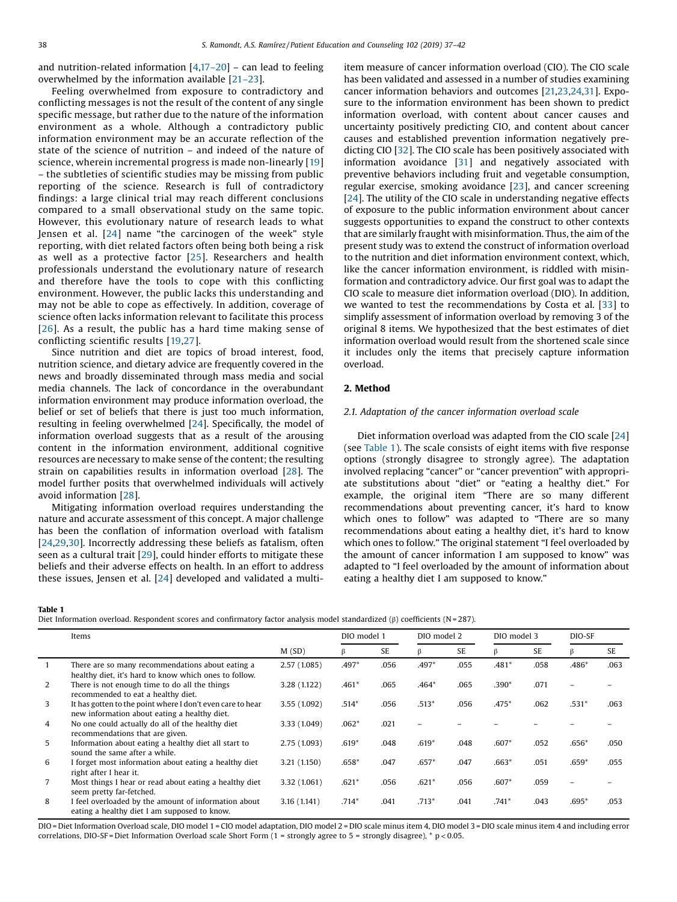<span id="page-1-0"></span>and nutrition-related information [[4,](#page-4-0)17–[20](#page-4-0)] – can lead to feeling overwhelmed by the information available [21–[23\]](#page-4-0).

Feeling overwhelmed from exposure to contradictory and conflicting messages is not the result of the content of any single specific message, but rather due to the nature of the information environment as a whole. Although a contradictory public information environment may be an accurate reflection of the state of the science of nutrition – and indeed of the nature of science, wherein incremental progress is made non-linearly [[19\]](#page-4-0) – the subtleties of scientific studies may be missing from public reporting of the science. Research is full of contradictory findings: a large clinical trial may reach different conclusions compared to a small observational study on the same topic. However, this evolutionary nature of research leads to what Jensen et al. [[24](#page-4-0)] name "the carcinogen of the week" style reporting, with diet related factors often being both being a risk as well as a protective factor [[25\]](#page-4-0). Researchers and health professionals understand the evolutionary nature of research and therefore have the tools to cope with this conflicting environment. However, the public lacks this understanding and may not be able to cope as effectively. In addition, coverage of science often lacks information relevant to facilitate this process [[26](#page-4-0)]. As a result, the public has a hard time making sense of conflicting scientific results [[19](#page-4-0),[27](#page-4-0)].

Since nutrition and diet are topics of broad interest, food, nutrition science, and dietary advice are frequently covered in the news and broadly disseminated through mass media and social media channels. The lack of concordance in the overabundant information environment may produce information overload, the belief or set of beliefs that there is just too much information, resulting in feeling overwhelmed [\[24\]](#page-4-0). Specifically, the model of information overload suggests that as a result of the arousing content in the information environment, additional cognitive resources are necessary to make sense of the content; the resulting strain on capabilities results in information overload [[28\]](#page-4-0). The model further posits that overwhelmed individuals will actively avoid information [[28](#page-4-0)].

Mitigating information overload requires understanding the nature and accurate assessment of this concept. A major challenge has been the conflation of information overload with fatalism [[24,29,30](#page-4-0)]. Incorrectly addressing these beliefs as fatalism, often seen as a cultural trait [\[29](#page-4-0)], could hinder efforts to mitigate these beliefs and their adverse effects on health. In an effort to address these issues, Jensen et al. [[24\]](#page-4-0) developed and validated a multiitem measure of cancer information overload (CIO). The CIO scale has been validated and assessed in a number of studies examining cancer information behaviors and outcomes [[21,23,24](#page-4-0),[31](#page-4-0)]. Exposure to the information environment has been shown to predict information overload, with content about cancer causes and uncertainty positively predicting CIO, and content about cancer causes and established prevention information negatively predicting CIO [\[32\]](#page-4-0). The CIO scale has been positively associated with information avoidance [\[31\]](#page-4-0) and negatively associated with preventive behaviors including fruit and vegetable consumption, regular exercise, smoking avoidance [[23](#page-4-0)], and cancer screening [[24](#page-4-0)]. The utility of the CIO scale in understanding negative effects of exposure to the public information environment about cancer suggests opportunities to expand the construct to other contexts that are similarly fraught with misinformation. Thus, the aim of the present study was to extend the construct of information overload to the nutrition and diet information environment context, which, like the cancer information environment, is riddled with misinformation and contradictory advice. Our first goal was to adapt the CIO scale to measure diet information overload (DIO). In addition, we wanted to test the recommendations by Costa et al. [[33](#page-4-0)] to simplify assessment of information overload by removing 3 of the original 8 items. We hypothesized that the best estimates of diet information overload would result from the shortened scale since it includes only the items that precisely capture information overload.

# 2. Method

# 2.1. Adaptation of the cancer information overload scale

Diet information overload was adapted from the CIO scale [\[24](#page-4-0)] (see Table 1). The scale consists of eight items with five response options (strongly disagree to strongly agree). The adaptation involved replacing "cancer" or "cancer prevention" with appropriate substitutions about "diet" or "eating a healthy diet." For example, the original item "There are so many different recommendations about preventing cancer, it's hard to know which ones to follow" was adapted to "There are so many recommendations about eating a healthy diet, it's hard to know which ones to follow." The original statement "I feel overloaded by the amount of cancer information I am supposed to know" was adapted to "I feel overloaded by the amount of information about eating a healthy diet I am supposed to know."

#### Table 1

Diet Information overload. Respondent scores and confirmatory factor analysis model standardized (β) coefficients (N=287).

|                | Items                                                                                                      |              | DIO model 1 |      | DIO model 2 |      | DIO model 3 |      | DIO-SF  |      |
|----------------|------------------------------------------------------------------------------------------------------------|--------------|-------------|------|-------------|------|-------------|------|---------|------|
|                |                                                                                                            | M(SD)        | B           | SE   | β           | SE   | ß           | SE   | β       | SE   |
| $\mathbf{1}$   | There are so many recommendations about eating a<br>healthy diet, it's hard to know which ones to follow.  | 2.57(1.085)  | $.497*$     | .056 | $.497*$     | .055 | $.481*$     | .058 | $.486*$ | .063 |
| 2              | There is not enough time to do all the things<br>recommended to eat a healthy diet.                        | 3.28 (1.122) | $.461*$     | .065 | $.464*$     | .065 | $.390*$     | .071 |         |      |
| 3              | It has gotten to the point where I don't even care to hear<br>new information about eating a healthy diet. | 3.55 (1.092) | $.514*$     | .056 | $.513*$     | .056 | $.475*$     | .062 | $.531*$ | .063 |
| $\overline{4}$ | No one could actually do all of the healthy diet<br>recommendations that are given.                        | 3.33 (1.049) | $.062*$     | .021 |             |      |             |      |         |      |
| 5              | Information about eating a healthy diet all start to<br>sound the same after a while.                      | 2.75 (1.093) | $.619*$     | .048 | $.619*$     | .048 | $.607*$     | .052 | $.656*$ | .050 |
| 6              | I forget most information about eating a healthy diet<br>right after I hear it.                            | 3.21 (1.150) | $.658*$     | .047 | $.657*$     | .047 | $.663*$     | .051 | $.659*$ | .055 |
| $\overline{7}$ | Most things I hear or read about eating a healthy diet<br>seem pretty far-fetched.                         | 3.32 (1.061) | $.621*$     | .056 | $.621*$     | .056 | $.607*$     | .059 |         |      |
| 8              | I feel overloaded by the amount of information about<br>eating a healthy diet I am supposed to know.       | 3.16 (1.141) | $.714*$     | .041 | $.713*$     | .041 | $.741*$     | .043 | .695*   | .053 |

DIO = Diet Information Overload scale, DIO model 1 = CIO model adaptation, DIO model 2 = DIO scale minus item 1, DIO model 3 = DIO scale minus item 4 and including error correlations, DIO-SF = Diet Information Overload scale Short Form  $(1 =$  strongly agree to  $5 =$  strongly disagree), \* p < 0.05.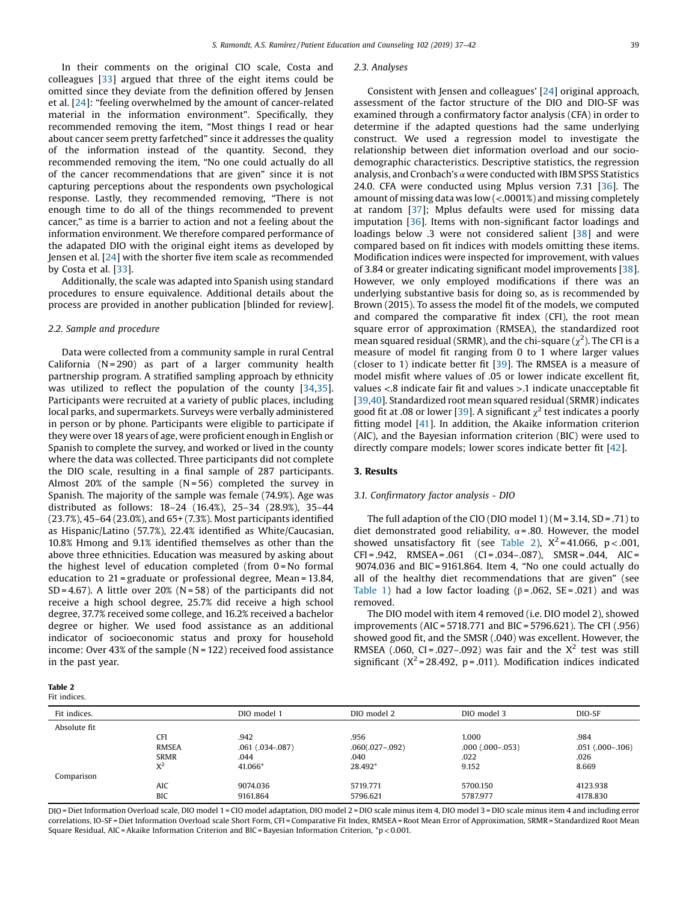In their comments on the original CIO scale, Costa and colleagues [[33](#page-4-0)] argued that three of the eight items could be omitted since they deviate from the definition offered by Jensen et al. [\[24](#page-4-0)]: "feeling overwhelmed by the amount of cancer-related material in the information environment". Specifically, they recommended removing the item, "Most things I read or hear about cancer seem pretty farfetched" since it addresses the quality of the information instead of the quantity. Second, they recommended removing the item, "No one could actually do all of the cancer recommendations that are given" since it is not capturing perceptions about the respondents own psychological response. Lastly, they recommended removing, "There is not enough time to do all of the things recommended to prevent cancer," as time is a barrier to action and not a feeling about the information environment. We therefore compared performance of the adapated DIO with the original eight items as developed by Jensen et al. [[24](#page-4-0)] with the shorter five item scale as recommended by Costa et al. [[33](#page-4-0)].

Additionally, the scale was adapted into Spanish using standard procedures to ensure equivalence. Additional details about the process are provided in another publication [blinded for review].

#### 2.2. Sample and procedure

Data were collected from a community sample in rural Central California  $(N = 290)$  as part of a larger community health partnership program. A stratified sampling approach by ethnicity was utilized to reflect the population of the county [\[34,35](#page-4-0)]. Participants were recruited at a variety of public places, including local parks, and supermarkets. Surveys were verbally administered in person or by phone. Participants were eligible to participate if they were over 18 years of age, were proficient enough in English or Spanish to complete the survey, and worked or lived in the county where the data was collected. Three participants did not complete the DIO scale, resulting in a final sample of 287 participants. Almost 20% of the sample  $(N=56)$  completed the survey in Spanish. The majority of the sample was female (74.9%). Age was distributed as follows: 18–24 (16.4%), 25–34 (28.9%), 35–44 (23.7%), 45–64 (23.0%), and 65+ (7.3%). Most participants identified as Hispanic/Latino (57.7%), 22.4% identified as White/Caucasian, 10.8% Hmong and 9.1% identified themselves as other than the above three ethnicities. Education was measured by asking about the highest level of education completed (from 0 = No formal education to 21 = graduate or professional degree, Mean = 13.84, SD = 4.67). A little over 20% (N = 58) of the participants did not receive a high school degree, 25.7% did receive a high school degree, 37.7% received some college, and 16.2% received a bachelor degree or higher. We used food assistance as an additional indicator of socioeconomic status and proxy for household income: Over 43% of the sample  $(N = 122)$  received food assistance in the past year.

#### Table 2 Fit indices.

# Fit indices. DIO model 1 DIO model 2 DIO model 3 DIO-SF Absolute fit CFI .942 .956 .956 .984 .984 .984 RMSEA .061 .034-.087) .060(.027-.092) .000 (.000-.053) .051 .000-.106) SRMR .044 .040 .022 .026  $X^2$  41.066\* 28.492\* 9.152 8.669 Comparison AIC 9074.036 5719.771 5700.150 4123.938 BIC 9161.864 5796.621 5787.977 4178.830

DIO = Diet Information Overload scale, DIO model 1 = CIO model adaptation, DIO model 2 = DIO scale minus item 4, DIO model 3 = DIO scale minus item 4 and including error correlations, IO-SF = Diet Information Overload scale Short Form, CFI = Comparative Fit Index, RMSEA = Root Mean Error of Approximation, SRMR = Standardized Root Mean Square Residual, AIC =Akaike Information Criterion and BIC = Bayesian Information Criterion, \*p<0.001.

#### 2.3. Analyses

Consistent with Jensen and colleagues' [[24](#page-4-0)] original approach, assessment of the factor structure of the DIO and DIO-SF was examined through a confirmatory factor analysis (CFA) in order to determine if the adapted questions had the same underlying construct. We used a regression model to investigate the relationship between diet information overload and our sociodemographic characteristics. Descriptive statistics, the regression analysis, and Cronbach's  $\alpha$  were conducted with IBM SPSS Statistics 24.0. CFA were conducted using Mplus version 7.31 [\[36](#page-4-0)]. The amount of missing data was low (<.0001%) and missing completely at random [\[37\]](#page-4-0); Mplus defaults were used for missing data imputation [[36](#page-4-0)]. Items with non-significant factor loadings and loadings below .3 were not considered salient [\[38](#page-4-0)] and were compared based on fit indices with models omitting these items. Modification indices were inspected for improvement, with values of 3.84 or greater indicating significant model improvements [[38](#page-4-0)]. However, we only employed modifications if there was an underlying substantive basis for doing so, as is recommended by Brown (2015). To assess the model fit of the models, we computed and compared the comparative fit index (CFI), the root mean square error of approximation (RMSEA), the standardized root mean squared residual (SRMR), and the chi-square ( $\chi^2$ ). The CFI is a measure of model fit ranging from 0 to 1 where larger values (closer to 1) indicate better fit [[39](#page-4-0)]. The RMSEA is a measure of model misfit where values of .05 or lower indicate excellent fit, values <.8 indicate fair fit and values >.1 indicate unacceptable fit [\[39,40](#page-4-0)]. Standardized root mean squared residual(SRMR) indicates good fit at .08 or lower [[39](#page-4-0)]. A significant  $\chi^2$  test indicates a poorly fitting model [\[41](#page-4-0)]. In addition, the Akaike information criterion (AIC), and the Bayesian information criterion (BIC) were used to directly compare models; lower scores indicate better fit [\[42\]](#page-5-0).

### 3. Results

#### 3.1. Confirmatory factor analysis - DIO

The full adaption of the CIO (DIO model 1) ( $M = 3.14$ , SD = .71) to diet demonstrated good reliability,  $\alpha$  = .80. However, the model showed unsatisfactory fit (see Table 2),  $X^2 = 41.066$ ,  $p < .001$ ,  $CFI = .942$ ,  $RMSEA = .061$   $(CI = .034 - .087)$ ,  $SMSR = .044$ ,  $AIC =$ 9074.036 and BIC = 9161.864. Item 4, "No one could actually do all of the healthy diet recommendations that are given" (see [Table](#page-1-0) 1) had a low factor loading  $(\beta = .062, SE = .021)$  and was removed.

The DIO model with item 4 removed (i.e. DIO model 2), showed improvements (AIC = 5718.771 and BIC = 5796.621). The CFI (.956) showed good fit, and the SMSR (.040) was excellent. However, the RMSEA (.060, CI = .027–.092) was fair and the  $X^2$  test was still significant  $(X^2 = 28.492, p = .011)$ . Modification indices indicated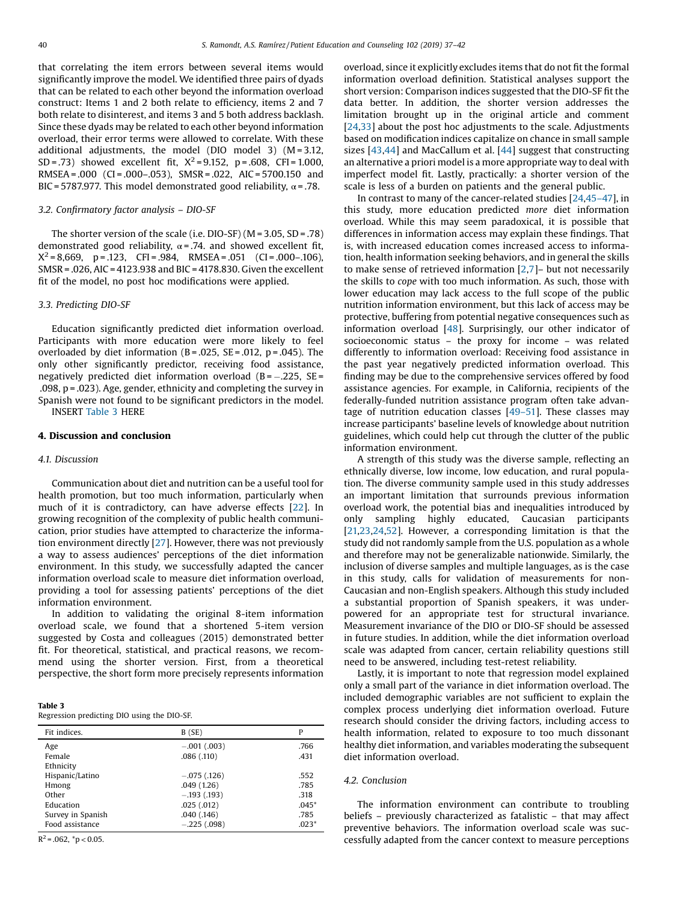that correlating the item errors between several items would significantly improve the model. We identified three pairs of dyads that can be related to each other beyond the information overload construct: Items 1 and 2 both relate to efficiency, items 2 and 7 both relate to disinterest, and items 3 and 5 both address backlash. Since these dyads may be related to each other beyond information overload, their error terms were allowed to correlate. With these additional adjustments, the model (DIO model 3) (M = 3.12, SD = .73) showed excellent fit,  $X^2 = 9.152$ , p = .608, CFI = 1.000, RMSEA = .000 (CI = .000–.053), SMSR = .022, AIC = 5700.150 and BIC = 5787.977. This model demonstrated good reliability,  $\alpha$  = .78.

### 3.2. Confirmatory factor analysis – DIO-SF

The shorter version of the scale (i.e. DIO-SF) ( $M = 3.05$ , SD = .78) demonstrated good reliability,  $\alpha = .74$ . and showed excellent fit,  $X^2 = 8,669$ , p = .123, CFI = .984, RMSEA = .051 (CI = .000-.106), SMSR = .026, AIC = 4123.938 and BIC = 4178.830. Given the excellent fit of the model, no post hoc modifications were applied.

# 3.3. Predicting DIO-SF

Education significantly predicted diet information overload. Participants with more education were more likely to feel overloaded by diet information  $(B=.025, SE=.012, p=.045)$ . The only other significantly predictor, receiving food assistance, negatively predicted diet information overload  $(B = -.225, SE =$ .098, p = .023). Age, gender, ethnicity and completing the survey in Spanish were not found to be significant predictors in the model. INSERT Table 3 HERE

### 4. Discussion and conclusion

### 4.1. Discussion

Communication about diet and nutrition can be a useful tool for health promotion, but too much information, particularly when much of it is contradictory, can have adverse effects [[22](#page-4-0)]. In growing recognition of the complexity of public health communication, prior studies have attempted to characterize the information environment directly [[27](#page-4-0)]. However, there was not previously a way to assess audiences' perceptions of the diet information environment. In this study, we successfully adapted the cancer information overload scale to measure diet information overload, providing a tool for assessing patients' perceptions of the diet information environment.

In addition to validating the original 8-item information overload scale, we found that a shortened 5-item version suggested by Costa and colleagues (2015) demonstrated better fit. For theoretical, statistical, and practical reasons, we recommend using the shorter version. First, from a theoretical perspective, the short form more precisely represents information

|--|--|

| Regression predicting DIO using the DIO-SF. |  |  |
|---------------------------------------------|--|--|
|---------------------------------------------|--|--|

| Fit indices.      | B(SE)         | P       |
|-------------------|---------------|---------|
| Age               | $-.001(.003)$ | .766    |
| Female            | .086(.110)    | .431    |
| Ethnicity         |               |         |
| Hispanic/Latino   | $-.075(.126)$ | .552    |
| Hmong             | .049(1.26)    | .785    |
| Other             | $-.193(193)$  | .318    |
| Education         | .025(.012)    | $.045*$ |
| Survey in Spanish | .040(.146)    | .785    |
| Food assistance   | $-.225(.098)$ | $.023*$ |

 $R^2$  = .062,  $^*p$  < 0.05.

overload, since it explicitly excludes items that do not fit the formal information overload definition. Statistical analyses support the short version: Comparison indices suggested that the DIO-SF fit the data better. In addition, the shorter version addresses the limitation brought up in the original article and comment [[24,33](#page-4-0)] about the post hoc adjustments to the scale. Adjustments based on modification indices capitalize on chance in small sample sizes [[43,44](#page-5-0)] and MacCallum et al. [[44\]](#page-5-0) suggest that constructing an alternative a priori model is a more appropriate way to deal with imperfect model fit. Lastly, practically: a shorter version of the scale is less of a burden on patients and the general public.

In contrast to many of the cancer-related studies [[24](#page-4-0),[45](#page-5-0)–47], in this study, more education predicted more diet information overload. While this may seem paradoxical, it is possible that differences in information access may explain these findings. That is, with increased education comes increased access to information, health information seeking behaviors, and in general the skills to make sense of retrieved information [\[2](#page-4-0),[7](#page-4-0)]– but not necessarily the skills to cope with too much information. As such, those with lower education may lack access to the full scope of the public nutrition information environment, but this lack of access may be protective, buffering from potential negative consequences such as information overload [\[48](#page-5-0)]. Surprisingly, our other indicator of socioeconomic status – the proxy for income – was related differently to information overload: Receiving food assistance in the past year negatively predicted information overload. This finding may be due to the comprehensive services offered by food assistance agencies. For example, in California, recipients of the federally-funded nutrition assistance program often take advantage of nutrition education classes [\[49](#page-5-0)–51]. These classes may increase participants' baseline levels of knowledge about nutrition guidelines, which could help cut through the clutter of the public information environment.

A strength of this study was the diverse sample, reflecting an ethnically diverse, low income, low education, and rural population. The diverse community sample used in this study addresses an important limitation that surrounds previous information overload work, the potential bias and inequalities introduced by only sampling highly educated, Caucasian participants [[21,23,24](#page-4-0),[52\]](#page-5-0). However, a corresponding limitation is that the study did not randomly sample from the U.S. population as a whole and therefore may not be generalizable nationwide. Similarly, the inclusion of diverse samples and multiple languages, as is the case in this study, calls for validation of measurements for non-Caucasian and non-English speakers. Although this study included a substantial proportion of Spanish speakers, it was underpowered for an appropriate test for structural invariance. Measurement invariance of the DIO or DIO-SF should be assessed in future studies. In addition, while the diet information overload scale was adapted from cancer, certain reliability questions still need to be answered, including test-retest reliability.

Lastly, it is important to note that regression model explained only a small part of the variance in diet information overload. The included demographic variables are not sufficient to explain the complex process underlying diet information overload. Future research should consider the driving factors, including access to health information, related to exposure to too much dissonant healthy diet information, and variables moderating the subsequent diet information overload.

# 4.2. Conclusion

The information environment can contribute to troubling beliefs – previously characterized as fatalistic – that may affect preventive behaviors. The information overload scale was successfully adapted from the cancer context to measure perceptions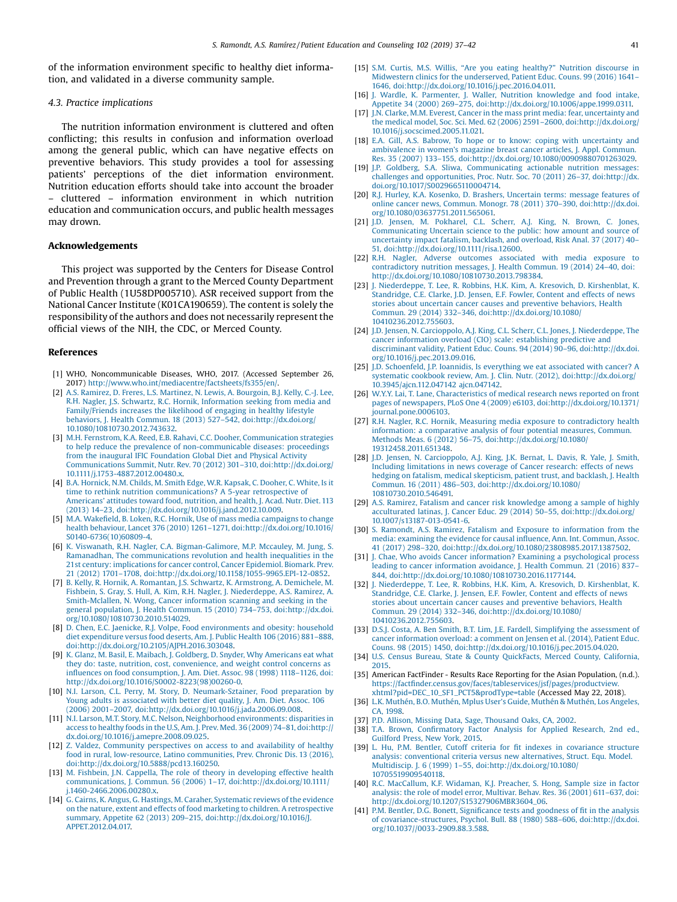<span id="page-4-0"></span>of the information environment specific to healthy diet information, and validated in a diverse community sample.

# 4.3. Practice implications

The nutrition information environment is cluttered and often conflicting; this results in confusion and information overload among the general public, which can have negative effects on preventive behaviors. This study provides a tool for assessing patients' perceptions of the diet information environment. Nutrition education efforts should take into account the broader – cluttered – information environment in which nutrition education and communication occurs, and public health messages may drown.

#### Acknowledgements

This project was supported by the Centers for Disease Control and Prevention through a grant to the Merced County Department of Public Health (1U58DP005710). ASR received support from the National Cancer Institute (K01CA190659). The content is solely the responsibility of the authors and does not necessarily represent the official views of the NIH, the CDC, or Merced County.

#### References

- [1] WHO, Noncommunicable Diseases, WHO, 2017. (Accessed September 26, 2017) <http://www.who.int/mediacentre/factsheets/fs355/en/>.
- [2] A.S. Ramirez, D. Freres, L.S. Martinez, N. Lewis, A. [Bourgoin,](http://refhub.elsevier.com/S0738-3991(18)30424-5/sbref0010) B.J. Kelly, C.-J. Lee, R.H. Nagler, J.S. Schwartz, R.C. Hornik, [Information](http://refhub.elsevier.com/S0738-3991(18)30424-5/sbref0010) seeking from media and [Family/Friends](http://refhub.elsevier.com/S0738-3991(18)30424-5/sbref0010) increases the likelihood of engaging in healthy lifestyle behaviors, J. Health Commun. 18 (2013) 527–542, [doi:http://dx.doi.org/](http://refhub.elsevier.com/S0738-3991(18)30424-5/sbref0010) [10.1080/10810730.2012.743632.](http://dx.doi.org/10.1080/10810730.2012.743632)
- [3] M.H. Fernstrom, K.A. Reed, E.B. Rahavi, C.C. Dooher, [Communication](http://refhub.elsevier.com/S0738-3991(18)30424-5/sbref0015) strategies to help reduce the prevalence of [non-communicable](http://refhub.elsevier.com/S0738-3991(18)30424-5/sbref0015) diseases: proceedings from the inaugural IFIC [Foundation](http://refhub.elsevier.com/S0738-3991(18)30424-5/sbref0015) Global Diet and Physical Activity Communications Summit, Nutr. Rev. 70 (2012) 301–310, [doi:http://dx.doi.org/](http://refhub.elsevier.com/S0738-3991(18)30424-5/sbref0015) [10.1111/j.1753-4887.2012.00480.x.](http://dx.doi.org/10.1111/j.1753-4887.2012.00480.x)
- [4] B.A. [Hornick,](http://refhub.elsevier.com/S0738-3991(18)30424-5/sbref0020) N.M. Childs, M. Smith Edge, W.R. Kapsak, C. Dooher, C. White, Is it time to rethink nutrition [communications?](http://refhub.elsevier.com/S0738-3991(18)30424-5/sbref0020) A 5-year retrospective of [Americans](http://refhub.elsevier.com/S0738-3991(18)30424-5/sbref0020)' attitudes toward food, nutrition, and health, J. Acad. Nutr. Diet. 113 (2013) 14–23, [doi:http://dx.doi.org/10.1016/j.jand.2012.10.009.](http://refhub.elsevier.com/S0738-3991(18)30424-5/sbref0020)
- [5] M.A. Wakefield, B. Loken, R.C. Hornik, Use of mass media [campaigns](http://refhub.elsevier.com/S0738-3991(18)30424-5/sbref0025) to change health behaviour, Lancet 376 (2010) 1261–1271, [doi:http://dx.doi.org/10.1016/](http://refhub.elsevier.com/S0738-3991(18)30424-5/sbref0025) [S0140-6736\(10\)60809-4.](http://dx.doi.org/10.1016/S0140-6736(10)60809-4)
- K. Viswanath, R.H. Nagler, C.A. [Bigman-Galimore,](http://refhub.elsevier.com/S0738-3991(18)30424-5/sbref0030) M.P. Mccauley, M. Jung, S. Ramanadhan, The [communications](http://refhub.elsevier.com/S0738-3991(18)30424-5/sbref0030) revolution and health inequalities in the 21st century: [implications](http://refhub.elsevier.com/S0738-3991(18)30424-5/sbref0030) for cancer control, Cancer Epidemiol. Biomark. Prev. 21 (2012) 1701–1708, [doi:http://dx.doi.org/10.1158/1055-9965.EPI-12-0852.](http://refhub.elsevier.com/S0738-3991(18)30424-5/sbref0030)
- [7] B. Kelly, R. Hornik, A. Romantan, J.S. Schwartz, K. [Armstrong,](http://refhub.elsevier.com/S0738-3991(18)30424-5/sbref0035) A. Demichele, M. Fishbein, S. Gray, S. Hull, A. Kim, R.H. Nagler, J. [Niederdeppe,](http://refhub.elsevier.com/S0738-3991(18)30424-5/sbref0035) A.S. Ramirez, A. [Smith-Mclallen,](http://refhub.elsevier.com/S0738-3991(18)30424-5/sbref0035) N. Wong, Cancer information scanning and seeking in the general population, J. Health Commun. 15 (2010) 734–753, [doi:http://dx.doi.](http://refhub.elsevier.com/S0738-3991(18)30424-5/sbref0035) [org/10.1080/10810730.2010.514029.](http://dx.doi.org/10.1080/10810730.2010.514029)
- [8] D. Chen, E.C. Jaenicke, R.J. Volpe, Food [environments](http://refhub.elsevier.com/S0738-3991(18)30424-5/sbref0040) and obesity: household diet [expenditure](http://refhub.elsevier.com/S0738-3991(18)30424-5/sbref0040) versus food deserts, Am. J. Public Health 106 (2016) 881–888, [doi:http://dx.doi.org/10.2105/AJPH.2016.303048.](http://refhub.elsevier.com/S0738-3991(18)30424-5/sbref0040)
- K. Glanz, M. Basil, E. Maibach, J. Goldberg, D. Snyder, Why [Americans](http://refhub.elsevier.com/S0738-3991(18)30424-5/sbref0045) eat what they do: taste, nutrition, cost, [convenience,](http://refhub.elsevier.com/S0738-3991(18)30424-5/sbref0045) and weight control concerns as influences on food [consumption,](http://refhub.elsevier.com/S0738-3991(18)30424-5/sbref0045) J. Am. Diet. Assoc. 98 (1998) 1118–1126, doi: [http://dx.doi.org/10.1016/S0002-8223\(98\)00260-0.](http://dx.doi.org/10.1016/S0002-8223(98)00260-0)
- [10] N.I. Larson, C.L. Perry, M. Story, D. [Neumark-Sztainer,](http://refhub.elsevier.com/S0738-3991(18)30424-5/sbref0050) Food preparation by Young adults is [associated](http://refhub.elsevier.com/S0738-3991(18)30424-5/sbref0050) with better diet quality, J. Am. Diet. Assoc. 106 (2006) 2001–2007, [doi:http://dx.doi.org/10.1016/j.jada.2006.09.008.](http://refhub.elsevier.com/S0738-3991(18)30424-5/sbref0050)
- [11] N.I. Larson, M.T. Story, M.C. Nelson, Neighborhood [environments:](http://refhub.elsevier.com/S0738-3991(18)30424-5/sbref0055) disparities in access to healthy foods in the U.S, Am. J. Prev. Med. 36 (2009) 74–81, [doi:http://](http://refhub.elsevier.com/S0738-3991(18)30424-5/sbref0055) [dx.doi.org/10.1016/j.amepre.2008.09.025.](http://dx.doi.org/10.1016/j.amepre.2008.09.025)
- [12] Z. Valdez, Community [perspectives](http://refhub.elsevier.com/S0738-3991(18)30424-5/sbref0060) on access to and availability of healthy food in rural, [low-resource,](http://refhub.elsevier.com/S0738-3991(18)30424-5/sbref0060) Latino communities, Prev. Chronic Dis. 13 (2016), [doi:http://dx.doi.org/10.5888/pcd13.160250.](http://refhub.elsevier.com/S0738-3991(18)30424-5/sbref0060)
- [13] M. Fishbein, J.N. Cappella, The role of theory in [developing](http://refhub.elsevier.com/S0738-3991(18)30424-5/sbref0065) effective health communications, J. Commun. 56 (2006) 1–17, [doi:http://dx.doi.org/10.1111/](http://refhub.elsevier.com/S0738-3991(18)30424-5/sbref0065) [j.1460-2466.2006.00280.x.](http://dx.doi.org/10.1111/j.1460-2466.2006.00280.x)
- [14] G. Cairns, K. Angus, G. Hastings, M. Caraher, [Systematic](http://refhub.elsevier.com/S0738-3991(18)30424-5/sbref0070) reviews of the evidence on the nature, extent and effects of food marketing to children. A [retrospective](http://refhub.elsevier.com/S0738-3991(18)30424-5/sbref0070) summary, Appetite 62 (2013) 209–215, [doi:http://dx.doi.org/10.1016/J.](http://refhub.elsevier.com/S0738-3991(18)30424-5/sbref0070) [APPET.2012.04.017.](http://dx.doi.org/10.1016/J.APPET.2012.04.017)
- [15] S.M. Curtis, M.S. Willis, "Are you eating healthy?" Nutrition [discourse](http://refhub.elsevier.com/S0738-3991(18)30424-5/sbref0075) in Midwestern clinics for the [underserved,](http://refhub.elsevier.com/S0738-3991(18)30424-5/sbref0075) Patient Educ. Couns. 99 (2016) 1641– 1646, [doi:http://dx.doi.org/10.1016/j.pec.2016.04.011.](http://refhub.elsevier.com/S0738-3991(18)30424-5/sbref0075)
- [16] J. Wardle, K. Parmenter, J. Waller, Nutrition [knowledge](http://refhub.elsevier.com/S0738-3991(18)30424-5/sbref0080) and food intake, Appetite 34 (2000) 269–275, [doi:http://dx.doi.org/10.1006/appe.1999.0311.](http://refhub.elsevier.com/S0738-3991(18)30424-5/sbref0080)
- [17] J.N. Clarke, M.M. Everest, Cancer in the mass print media: fear, [uncertainty](http://refhub.elsevier.com/S0738-3991(18)30424-5/sbref0085) and the medical model, Soc. Sci. Med. 62 (2006) 2591–2600, [doi:http://dx.doi.org/](http://refhub.elsevier.com/S0738-3991(18)30424-5/sbref0085) [10.1016/j.socscimed.2005.11.021.](http://dx.doi.org/10.1016/j.socscimed.2005.11.021)
- [18] E.A. Gill, A.S. Babrow, To hope or to know: coping with [uncertainty](http://refhub.elsevier.com/S0738-3991(18)30424-5/sbref0090) and [ambivalence](http://refhub.elsevier.com/S0738-3991(18)30424-5/sbref0090) in women's magazine breast cancer articles, J. Appl. Commun. Res. 35 (2007) 133–155, [doi:http://dx.doi.org/10.1080/00909880701263029.](http://refhub.elsevier.com/S0738-3991(18)30424-5/sbref0090)
- [19] J.P. Goldberg, S.A. Sliwa, [Communicating](http://refhub.elsevier.com/S0738-3991(18)30424-5/sbref0095) actionable nutrition messages: challenges and [opportunities,](http://refhub.elsevier.com/S0738-3991(18)30424-5/sbref0095) Proc. Nutr. Soc. 70 (2011) 26–37, doi:http://dx. [doi.org/10.1017/S0029665110004714.](http://dx.doi.org/10.1017/S0029665110004714)
- [20] R.J. Hurley, K.A. Kosenko, D. Brashers, [Uncertain](http://refhub.elsevier.com/S0738-3991(18)30424-5/sbref0100) terms: message features of online cancer news, Commun. Monogr. 78 (2011) 370–390, [doi:http://dx.doi.](http://refhub.elsevier.com/S0738-3991(18)30424-5/sbref0100) [org/10.1080/03637751.2011.565061.](http://dx.doi.org/10.1080/03637751.2011.565061)
- [21] J.D. Jensen, M. [Pokharel,](http://refhub.elsevier.com/S0738-3991(18)30424-5/sbref0105) C.L. Scherr, A.J. King, N. Brown, C. Jones, [Communicating](http://refhub.elsevier.com/S0738-3991(18)30424-5/sbref0105) Uncertain science to the public: how amount and source of [uncertainty](http://refhub.elsevier.com/S0738-3991(18)30424-5/sbref0105) impact fatalism, backlash, and overload, Risk Anal. 37 (2017) 40– 51, [doi:http://dx.doi.org/10.1111/risa.12600.](http://refhub.elsevier.com/S0738-3991(18)30424-5/sbref0105)
- [22] R.H. Nagler, Adverse outcomes [associated](http://refhub.elsevier.com/S0738-3991(18)30424-5/sbref0110) with media exposure to [contradictory](http://refhub.elsevier.com/S0738-3991(18)30424-5/sbref0110) nutrition messages, J. Health Commun. 19 (2014) 24–40, doi: [http://dx.doi.org/10.1080/10810730.2013.798384.](http://dx.doi.org/10.1080/10810730.2013.798384)
- [23] J. [Niederdeppe,](http://refhub.elsevier.com/S0738-3991(18)30424-5/sbref0115) T. Lee, R. Robbins, H.K. Kim, A. Kresovich, D. Kirshenblat, K. [Standridge,](http://refhub.elsevier.com/S0738-3991(18)30424-5/sbref0115) C.E. Clarke, J.D. Jensen, E.F. Fowler, Content and effects of news stories about uncertain cancer causes and [preventive](http://refhub.elsevier.com/S0738-3991(18)30424-5/sbref0115) behaviors, Health Commun. 29 (2014) 332–346, [doi:http://dx.doi.org/10.1080/](http://refhub.elsevier.com/S0738-3991(18)30424-5/sbref0115) [10410236.2012.755603.](http://dx.doi.org/10.1080/10410236.2012.755603)
- [24] J.D. Jensen, N. Carcioppolo, A.J. King, C.L. Scherr, C.L. Jones, J. [Niederdeppe,](http://refhub.elsevier.com/S0738-3991(18)30424-5/sbref0120) The cancer information overload (CIO) scale: [establishing](http://refhub.elsevier.com/S0738-3991(18)30424-5/sbref0120) predictive and discriminant validity, Patient Educ. Couns. 94 (2014) 90–96, [doi:http://dx.doi.](http://refhub.elsevier.com/S0738-3991(18)30424-5/sbref0120) [org/10.1016/j.pec.2013.09.016.](http://dx.doi.org/10.1016/j.pec.2013.09.016)
- [25] J.D. [Schoenfeld,](http://refhub.elsevier.com/S0738-3991(18)30424-5/sbref0125) J.P. Ioannidis, Is everything we eat associated with cancer? A systematic cookbook review, Am. J. Clin. Nutr. (2012), [doi:http://dx.doi.org/](http://refhub.elsevier.com/S0738-3991(18)30424-5/sbref0125) [10.3945/ajcn.112.047142](http://dx.doi.org/10.3945/ajcn.112.047142) ajcn.047142.
- [26] W.Y.Y. Lai, T. Lane, [Characteristics](http://refhub.elsevier.com/S0738-3991(18)30424-5/sbref0130) of medical research news reported on front pages of newspapers, PLoS One 4 (2009) e6103, [doi:http://dx.doi.org/10.1371/](http://refhub.elsevier.com/S0738-3991(18)30424-5/sbref0130) [journal.pone.0006103.](http://dx.doi.org/10.1371/journal.pone.0006103)
- [27] R.H. Nagler, R.C. Hornik, Measuring media exposure to [contradictory](http://refhub.elsevier.com/S0738-3991(18)30424-5/sbref0135) health [information:](http://refhub.elsevier.com/S0738-3991(18)30424-5/sbref0135) a comparative analysis of four potential measures, Commun. Methods Meas. 6 (2012) 56–75, [doi:http://dx.doi.org/10.1080/](http://refhub.elsevier.com/S0738-3991(18)30424-5/sbref0135) [19312458.2011.651348.](http://dx.doi.org/10.1080/19312458.2011.651348)
- [28] J.D. Jensen, N. [Carcioppolo,](http://refhub.elsevier.com/S0738-3991(18)30424-5/sbref0140) A.J. King, J.K. Bernat, L. Davis, R. Yale, J. Smith, Including [limitations](http://refhub.elsevier.com/S0738-3991(18)30424-5/sbref0140) in news coverage of Cancer research: effects of news hedging on fatalism, medical [skepticism,](http://refhub.elsevier.com/S0738-3991(18)30424-5/sbref0140) patient trust, and backlash, J. Health Commun. 16 (2011) 486–503, [doi:http://dx.doi.org/10.1080/](http://refhub.elsevier.com/S0738-3991(18)30424-5/sbref0140) [10810730.2010.546491.](http://dx.doi.org/10.1080/10810730.2010.546491)
- [29] A.S. Ramirez, Fatalism and cancer risk [knowledge](http://refhub.elsevier.com/S0738-3991(18)30424-5/sbref0145) among a sample of highly acculturated latinas, J. Cancer Educ. 29 (2014) 50–55, [doi:http://dx.doi.org/](http://refhub.elsevier.com/S0738-3991(18)30424-5/sbref0145) [10.1007/s13187-013-0541-6.](http://dx.doi.org/10.1007/s13187-013-0541-6)
- [30] S. Ramondt, A.S. Ramirez, Fatalism and Exposure to [information](http://refhub.elsevier.com/S0738-3991(18)30424-5/sbref0150) from the media: [examining](http://refhub.elsevier.com/S0738-3991(18)30424-5/sbref0150) the evidence for causal influence, Ann. Int. Commun, Assoc. 41 (2017) 298–320, [doi:http://dx.doi.org/10.1080/23808985.2017.1387502.](http://refhub.elsevier.com/S0738-3991(18)30424-5/sbref0150)
- [31] J. Chae, Who avoids Cancer information? Examining a [psychological](http://refhub.elsevier.com/S0738-3991(18)30424-5/sbref0155) process leading to cancer [information](http://refhub.elsevier.com/S0738-3991(18)30424-5/sbref0155) avoidance, J. Health Commun. 21 (2016) 837– 844, [doi:http://dx.doi.org/10.1080/10810730.2016.1177144.](http://refhub.elsevier.com/S0738-3991(18)30424-5/sbref0155)
- [32] J. [Niederdeppe,](http://refhub.elsevier.com/S0738-3991(18)30424-5/sbref0160) T. Lee, R. Robbins, H.K. Kim, A. Kresovich, D. Kirshenblat, K. [Standridge,](http://refhub.elsevier.com/S0738-3991(18)30424-5/sbref0160) C.E. Clarke, J. Jensen, E.F. Fowler, Content and effects of news stories about uncertain cancer causes and [preventive](http://refhub.elsevier.com/S0738-3991(18)30424-5/sbref0160) behaviors, Health Commun. 29 (2014) 332–346, [doi:http://dx.doi.org/10.1080/](http://refhub.elsevier.com/S0738-3991(18)30424-5/sbref0160) [10410236.2012.755603.](http://dx.doi.org/10.1080/10410236.2012.755603)
- [33] D.S.J. Costa, A. Ben Smith, B.T. Lim, J.E. Fardell, [Simplifying](http://refhub.elsevier.com/S0738-3991(18)30424-5/sbref0165) the assessment of cancer [information](http://refhub.elsevier.com/S0738-3991(18)30424-5/sbref0165) overload: a comment on Jensen et al. (2014), Patient Educ. Couns. 98 (2015) 1450, [doi:http://dx.doi.org/10.1016/j.pec.2015.04.020.](http://refhub.elsevier.com/S0738-3991(18)30424-5/sbref0165)
- [34] U.S. Census Bureau, State & County [QuickFacts,](http://refhub.elsevier.com/S0738-3991(18)30424-5/sbref0170) Merced County, California, [2015](http://refhub.elsevier.com/S0738-3991(18)30424-5/sbref0170).
- [35] American FactFinder Results Race Reporting for the Asian Population, (n.d.). https://factfi[nder.census.gov/faces/tableservices/jsf/pages/productview.](https://factfinder.census.gov/faces/tableservices/jsf/pages/productview.xhtml?pid=DEC_10_SF1_PCT5%26prodType=table) [xhtml?pid=DEC\\_10\\_SF1\\_PCT5&prodType=table](https://factfinder.census.gov/faces/tableservices/jsf/pages/productview.xhtml?pid=DEC_10_SF1_PCT5%26prodType=table) (Accessed May 22, 2018).
- [36] L.K. [Muthén,](http://refhub.elsevier.com/S0738-3991(18)30424-5/sbref0180) B.O. Muthén, Mplus User's Guide, Muthén & Muthén, Los Angeles, CA, [1998.](http://refhub.elsevier.com/S0738-3991(18)30424-5/sbref0180)
- [37] P.D. Allison, Missing Data, Sage, [Thousand](http://refhub.elsevier.com/S0738-3991(18)30424-5/sbref0185) Oaks, CA, 2002.
- [38] T.A. Brown, Confirmatory Factor Analysis for Applied [Research,](http://refhub.elsevier.com/S0738-3991(18)30424-5/sbref0190) 2nd ed., [Guilford](http://refhub.elsevier.com/S0738-3991(18)30424-5/sbref0190) Press, New York, 2015.
- [39] L. Hu, P.M. Bentler, Cutoff criteria for fit indexes in [covariance](http://refhub.elsevier.com/S0738-3991(18)30424-5/sbref0195) structure analysis: [conventional](http://refhub.elsevier.com/S0738-3991(18)30424-5/sbref0195) criteria versus new alternatives, Struct. Equ. Model. Multidiscip. J. 6 (1999) 1–55, [doi:http://dx.doi.org/10.1080/](http://refhub.elsevier.com/S0738-3991(18)30424-5/sbref0195) [10705519909540118.](http://dx.doi.org/10.1080/10705519909540118)
- [40] R.C. [MacCallum,](http://refhub.elsevier.com/S0738-3991(18)30424-5/sbref0200) K.F. Widaman, K.J. Preacher, S. Hong, Sample size in factor analysis: the role of model error, [Multivar.](http://refhub.elsevier.com/S0738-3991(18)30424-5/sbref0200) Behav. Res. 36 (2001) 611–637, doi: [http://dx.doi.org/10.1207/S15327906MBR3604\\_06.](http://dx.doi.org/10.1207/S15327906MBR3604_06)
- [41] P.M. Bentler, D.G. Bonett, Significance tests and [goodness](http://refhub.elsevier.com/S0738-3991(18)30424-5/sbref0205) of fit in the analysis of [covariance-structures,](http://refhub.elsevier.com/S0738-3991(18)30424-5/sbref0205) Psychol. Bull. 88 (1980) 588–606, doi:http://dx.doi. [org/10.1037//0033-2909.88.3.588.](http://dx.doi.org/10.1037//0033-2909.88.3.588)